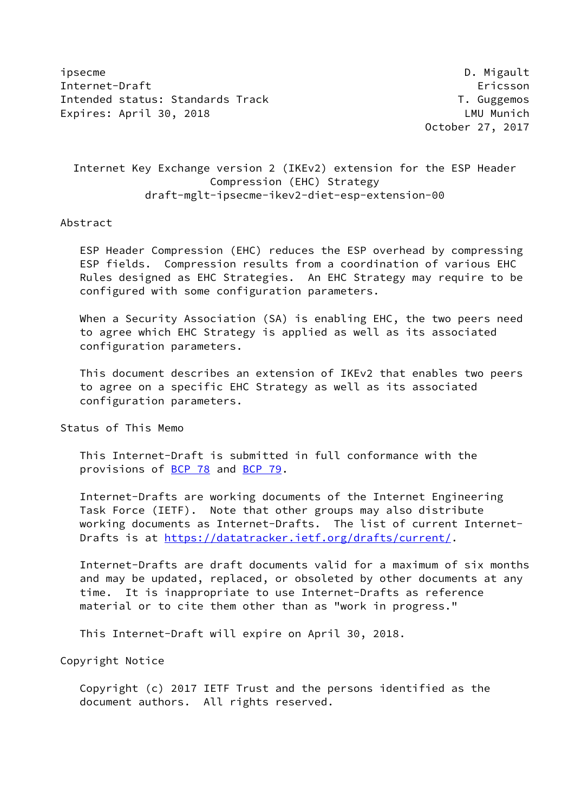ipsecme D. Migault Internet-Draft Ericsson Intended status: Standards Track T. Guggemos Expires: April 30, 2018 **LAU** Munich

October 27, 2017

 Internet Key Exchange version 2 (IKEv2) extension for the ESP Header Compression (EHC) Strategy draft-mglt-ipsecme-ikev2-diet-esp-extension-00

#### Abstract

 ESP Header Compression (EHC) reduces the ESP overhead by compressing ESP fields. Compression results from a coordination of various EHC Rules designed as EHC Strategies. An EHC Strategy may require to be configured with some configuration parameters.

 When a Security Association (SA) is enabling EHC, the two peers need to agree which EHC Strategy is applied as well as its associated configuration parameters.

 This document describes an extension of IKEv2 that enables two peers to agree on a specific EHC Strategy as well as its associated configuration parameters.

Status of This Memo

 This Internet-Draft is submitted in full conformance with the provisions of [BCP 78](https://datatracker.ietf.org/doc/pdf/bcp78) and [BCP 79](https://datatracker.ietf.org/doc/pdf/bcp79).

 Internet-Drafts are working documents of the Internet Engineering Task Force (IETF). Note that other groups may also distribute working documents as Internet-Drafts. The list of current Internet- Drafts is at<https://datatracker.ietf.org/drafts/current/>.

 Internet-Drafts are draft documents valid for a maximum of six months and may be updated, replaced, or obsoleted by other documents at any time. It is inappropriate to use Internet-Drafts as reference material or to cite them other than as "work in progress."

This Internet-Draft will expire on April 30, 2018.

Copyright Notice

 Copyright (c) 2017 IETF Trust and the persons identified as the document authors. All rights reserved.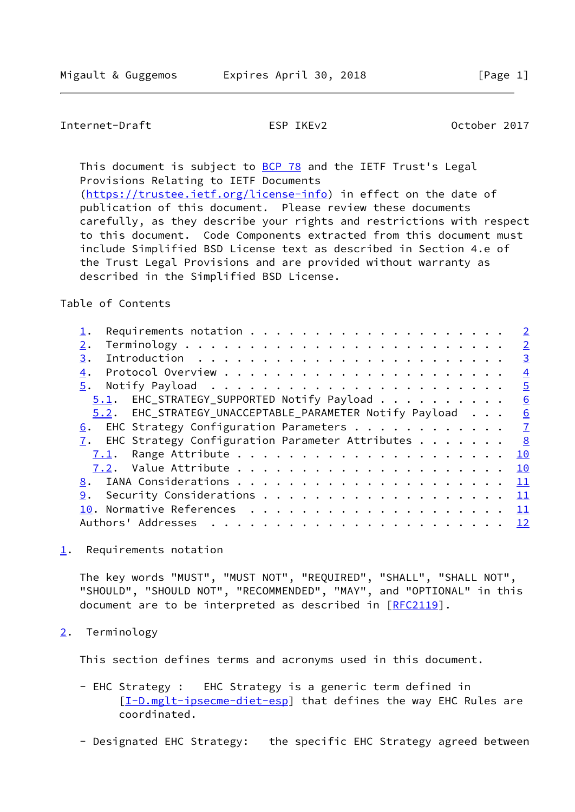# <span id="page-1-1"></span>Internet-Draft ESP IKEv2 October 2017

This document is subject to [BCP 78](https://datatracker.ietf.org/doc/pdf/bcp78) and the IETF Trust's Legal Provisions Relating to IETF Documents [\(https://trustee.ietf.org/license-info](https://trustee.ietf.org/license-info)) in effect on the date of

 publication of this document. Please review these documents carefully, as they describe your rights and restrictions with respect to this document. Code Components extracted from this document must include Simplified BSD License text as described in Section 4.e of the Trust Legal Provisions and are provided without warranty as described in the Simplified BSD License.

Table of Contents

|                                                                    | $\overline{2}$ |
|--------------------------------------------------------------------|----------------|
| 2.                                                                 | $\overline{2}$ |
| 3.                                                                 | $\overline{3}$ |
| 4.                                                                 | $\overline{4}$ |
| 5.                                                                 | $\overline{5}$ |
| $5.1$ . EHC_STRATEGY_SUPPORTED Notify Payload 6                    |                |
| 5.2. EHC_STRATEGY_UNACCEPTABLE_PARAMETER Notify Payload 6          |                |
| 6. EHC Strategy Configuration Parameters $\frac{7}{2}$             |                |
| $\overline{1}$ . EHC Strategy Configuration Parameter Attributes 8 |                |
|                                                                    |                |
|                                                                    |                |
|                                                                    |                |
| 9.                                                                 |                |
|                                                                    |                |
|                                                                    |                |
|                                                                    |                |

<span id="page-1-0"></span>[1](#page-1-0). Requirements notation

 The key words "MUST", "MUST NOT", "REQUIRED", "SHALL", "SHALL NOT", "SHOULD", "SHOULD NOT", "RECOMMENDED", "MAY", and "OPTIONAL" in this document are to be interpreted as described in [\[RFC2119](https://datatracker.ietf.org/doc/pdf/rfc2119)].

<span id="page-1-2"></span>[2](#page-1-2). Terminology

This section defines terms and acronyms used in this document.

- EHC Strategy : EHC Strategy is a generic term defined in [[I-D.mglt-ipsecme-diet-esp\]](#page-12-3) that defines the way EHC Rules are coordinated.
- Designated EHC Strategy: the specific EHC Strategy agreed between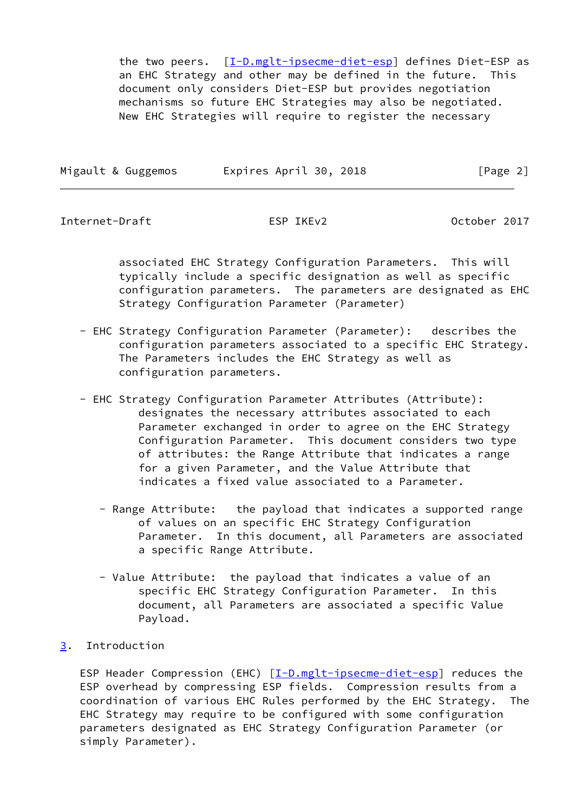the two peers. [[I-D.mglt-ipsecme-diet-esp\]](#page-12-3) defines Diet-ESP as an EHC Strategy and other may be defined in the future. This document only considers Diet-ESP but provides negotiation mechanisms so future EHC Strategies may also be negotiated. New EHC Strategies will require to register the necessary

| Migault & Guggemos | Expires April 30, 2018 | [Page 2] |
|--------------------|------------------------|----------|
|                    |                        |          |

<span id="page-2-1"></span>Internet-Draft ESP IKEv2 October 2017

 associated EHC Strategy Configuration Parameters. This will typically include a specific designation as well as specific configuration parameters. The parameters are designated as EHC Strategy Configuration Parameter (Parameter)

- EHC Strategy Configuration Parameter (Parameter): describes the configuration parameters associated to a specific EHC Strategy. The Parameters includes the EHC Strategy as well as configuration parameters.
- EHC Strategy Configuration Parameter Attributes (Attribute): designates the necessary attributes associated to each Parameter exchanged in order to agree on the EHC Strategy Configuration Parameter. This document considers two type of attributes: the Range Attribute that indicates a range for a given Parameter, and the Value Attribute that indicates a fixed value associated to a Parameter.
	- Range Attribute: the payload that indicates a supported range of values on an specific EHC Strategy Configuration Parameter. In this document, all Parameters are associated a specific Range Attribute.
	- Value Attribute: the payload that indicates a value of an specific EHC Strategy Configuration Parameter. In this document, all Parameters are associated a specific Value Payload.
- <span id="page-2-0"></span>[3](#page-2-0). Introduction

 ESP Header Compression (EHC) [\[I-D.mglt-ipsecme-diet-esp\]](#page-12-3) reduces the ESP overhead by compressing ESP fields. Compression results from a coordination of various EHC Rules performed by the EHC Strategy. The EHC Strategy may require to be configured with some configuration parameters designated as EHC Strategy Configuration Parameter (or simply Parameter).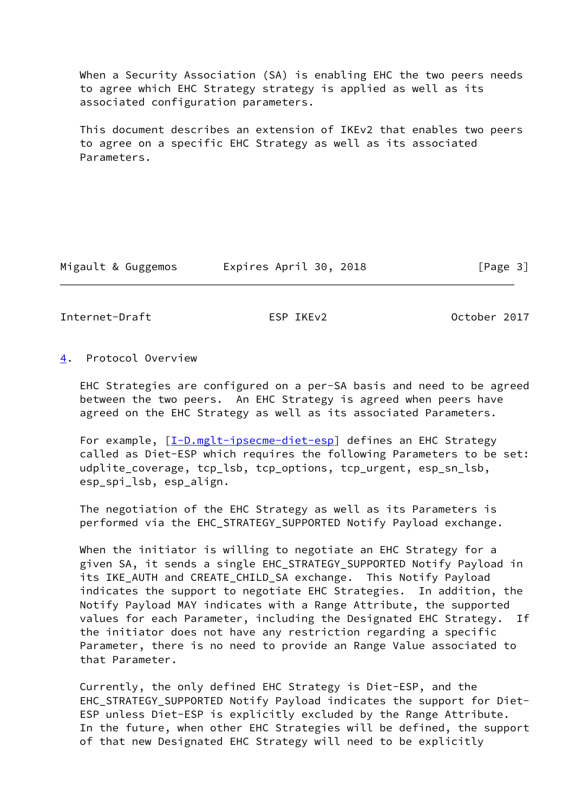When a Security Association (SA) is enabling EHC the two peers needs to agree which EHC Strategy strategy is applied as well as its associated configuration parameters.

 This document describes an extension of IKEv2 that enables two peers to agree on a specific EHC Strategy as well as its associated Parameters.

Migault & Guggemos Expires April 30, 2018 [Page 3]

<span id="page-3-1"></span>Internet-Draft ESP IKEv2 October 2017

#### <span id="page-3-0"></span>[4](#page-3-0). Protocol Overview

 EHC Strategies are configured on a per-SA basis and need to be agreed between the two peers. An EHC Strategy is agreed when peers have agreed on the EHC Strategy as well as its associated Parameters.

For example,  $[\underline{I-D.mglt-ipsecme-diet-esp}]$  defines an EHC Strategy called as Diet-ESP which requires the following Parameters to be set: udplite\_coverage, tcp\_lsb, tcp\_options, tcp\_urgent, esp\_sn\_lsb, esp\_spi\_lsb, esp\_align.

 The negotiation of the EHC Strategy as well as its Parameters is performed via the EHC\_STRATEGY\_SUPPORTED Notify Payload exchange.

 When the initiator is willing to negotiate an EHC Strategy for a given SA, it sends a single EHC\_STRATEGY\_SUPPORTED Notify Payload in its IKE\_AUTH and CREATE\_CHILD\_SA exchange. This Notify Payload indicates the support to negotiate EHC Strategies. In addition, the Notify Payload MAY indicates with a Range Attribute, the supported values for each Parameter, including the Designated EHC Strategy. If the initiator does not have any restriction regarding a specific Parameter, there is no need to provide an Range Value associated to that Parameter.

 Currently, the only defined EHC Strategy is Diet-ESP, and the EHC\_STRATEGY\_SUPPORTED Notify Payload indicates the support for Diet- ESP unless Diet-ESP is explicitly excluded by the Range Attribute. In the future, when other EHC Strategies will be defined, the support of that new Designated EHC Strategy will need to be explicitly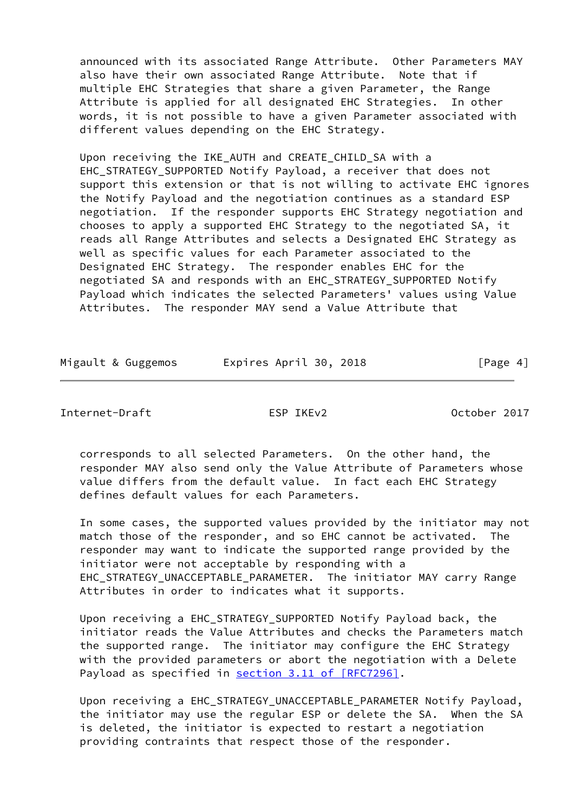announced with its associated Range Attribute. Other Parameters MAY also have their own associated Range Attribute. Note that if multiple EHC Strategies that share a given Parameter, the Range Attribute is applied for all designated EHC Strategies. In other words, it is not possible to have a given Parameter associated with different values depending on the EHC Strategy.

 Upon receiving the IKE\_AUTH and CREATE\_CHILD\_SA with a EHC\_STRATEGY\_SUPPORTED Notify Payload, a receiver that does not support this extension or that is not willing to activate EHC ignores the Notify Payload and the negotiation continues as a standard ESP negotiation. If the responder supports EHC Strategy negotiation and chooses to apply a supported EHC Strategy to the negotiated SA, it reads all Range Attributes and selects a Designated EHC Strategy as well as specific values for each Parameter associated to the Designated EHC Strategy. The responder enables EHC for the negotiated SA and responds with an EHC\_STRATEGY\_SUPPORTED Notify Payload which indicates the selected Parameters' values using Value Attributes. The responder MAY send a Value Attribute that

| Migault & Guggemos | Expires April 30, 2018 | [Page 4] |
|--------------------|------------------------|----------|

<span id="page-4-0"></span>Internet-Draft ESP IKEv2 October 2017

 corresponds to all selected Parameters. On the other hand, the responder MAY also send only the Value Attribute of Parameters whose value differs from the default value. In fact each EHC Strategy defines default values for each Parameters.

 In some cases, the supported values provided by the initiator may not match those of the responder, and so EHC cannot be activated. The responder may want to indicate the supported range provided by the initiator were not acceptable by responding with a EHC\_STRATEGY\_UNACCEPTABLE\_PARAMETER. The initiator MAY carry Range Attributes in order to indicates what it supports.

 Upon receiving a EHC\_STRATEGY\_SUPPORTED Notify Payload back, the initiator reads the Value Attributes and checks the Parameters match the supported range. The initiator may configure the EHC Strategy with the provided parameters or abort the negotiation with a Delete Payload as specified in section [3.11 of \[RFC7296\]](https://datatracker.ietf.org/doc/pdf/rfc7296#section-3.11).

 Upon receiving a EHC\_STRATEGY\_UNACCEPTABLE\_PARAMETER Notify Payload, the initiator may use the regular ESP or delete the SA. When the SA is deleted, the initiator is expected to restart a negotiation providing contraints that respect those of the responder.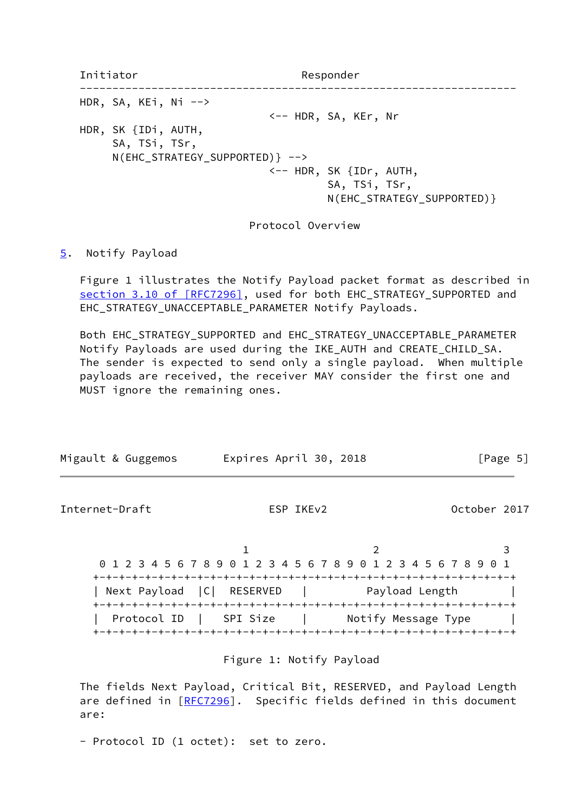Initiator Responder ------------------------------------------------------------------- HDR, SA, KEi, Ni --> <-- HDR, SA, KEr, Nr HDR, SK {IDi, AUTH, SA, TSi, TSr, N(EHC\_STRATEGY\_SUPPORTED)} --> <-- HDR, SK {IDr, AUTH, SA, TSi, TSr, N(EHC\_STRATEGY\_SUPPORTED)}

Protocol Overview

## <span id="page-5-0"></span>[5](#page-5-0). Notify Payload

 Figure 1 illustrates the Notify Payload packet format as described in section [3.10 of \[RFC7296\]](https://datatracker.ietf.org/doc/pdf/rfc7296#section-3.10), used for both EHC\_STRATEGY\_SUPPORTED and EHC\_STRATEGY\_UNACCEPTABLE\_PARAMETER Notify Payloads.

 Both EHC\_STRATEGY\_SUPPORTED and EHC\_STRATEGY\_UNACCEPTABLE\_PARAMETER Notify Payloads are used during the IKE\_AUTH and CREATE\_CHILD\_SA. The sender is expected to send only a single payload. When multiple payloads are received, the receiver MAY consider the first one and MUST ignore the remaining ones.

<span id="page-5-1"></span>

| Migault & Guggemos          | Expires April 30, 2018                                          | [Page 5]       |
|-----------------------------|-----------------------------------------------------------------|----------------|
| Internet-Draft              | ESP IKE <sub>v2</sub>                                           | October 2017   |
|                             | 0 1 2 3 4 5 6 7 8 9 0 1 2 3 4 5 6 7 8 9 0 1 2 3 4 5 6 7 8 9 0 1 |                |
| Next Payload   C   RESERVED |                                                                 | Payload Length |
| Protocol ID   SPI Size      |                                                                 |                |

## Figure 1: Notify Payload

 The fields Next Payload, Critical Bit, RESERVED, and Payload Length are defined in [\[RFC7296](https://datatracker.ietf.org/doc/pdf/rfc7296)]. Specific fields defined in this document are:

- Protocol ID (1 octet): set to zero.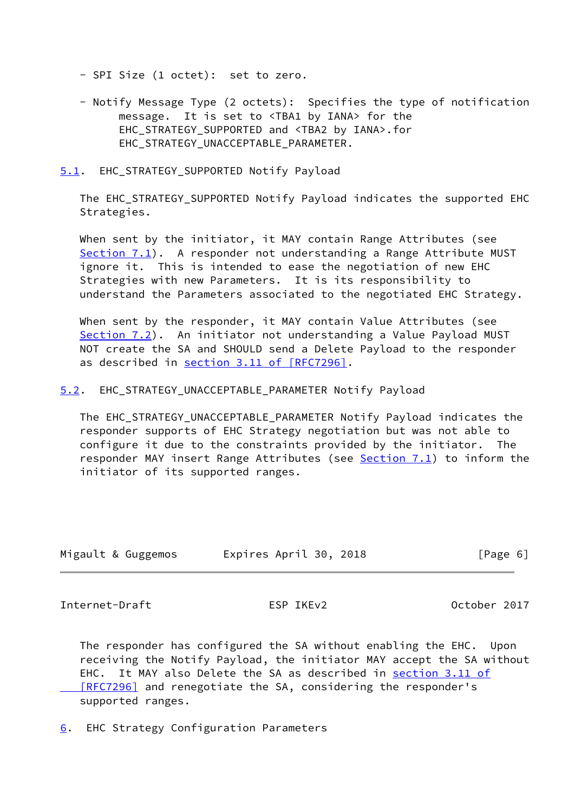- SPI Size (1 octet): set to zero.
- Notify Message Type (2 octets): Specifies the type of notification message. It is set to <TBA1 by IANA> for the EHC STRATEGY SUPPORTED and <TBA2 by IANA>.for EHC\_STRATEGY\_UNACCEPTABLE\_PARAMETER.

<span id="page-6-0"></span>[5.1](#page-6-0). EHC\_STRATEGY\_SUPPORTED Notify Payload

 The EHC\_STRATEGY\_SUPPORTED Notify Payload indicates the supported EHC Strategies.

 When sent by the initiator, it MAY contain Range Attributes (see [Section 7.1](#page-10-0)). A responder not understanding a Range Attribute MUST ignore it. This is intended to ease the negotiation of new EHC Strategies with new Parameters. It is its responsibility to understand the Parameters associated to the negotiated EHC Strategy.

 When sent by the responder, it MAY contain Value Attributes (see [Section 7.2](#page-10-2)). An initiator not understanding a Value Payload MUST NOT create the SA and SHOULD send a Delete Payload to the responder as described in section [3.11 of \[RFC7296\]](https://datatracker.ietf.org/doc/pdf/rfc7296#section-3.11).

<span id="page-6-1"></span>[5.2](#page-6-1). EHC\_STRATEGY\_UNACCEPTABLE\_PARAMETER Notify Payload

 The EHC\_STRATEGY\_UNACCEPTABLE\_PARAMETER Notify Payload indicates the responder supports of EHC Strategy negotiation but was not able to configure it due to the constraints provided by the initiator. The responder MAY insert Range Attributes (see [Section 7.1](#page-10-0)) to inform the initiator of its supported ranges.

| Migault & Guggemos | Expires April 30, 2018 | [Page 6] |
|--------------------|------------------------|----------|
|                    |                        |          |

<span id="page-6-3"></span>Internet-Draft ESP IKEv2 October 2017

 The responder has configured the SA without enabling the EHC. Upon receiving the Notify Payload, the initiator MAY accept the SA without EHC. It MAY also Delete the SA as described in [section](https://datatracker.ietf.org/doc/pdf/rfc7296#section-3.11) 3.11 of [RFC7296] and renegotiate the SA, considering the responder's supported ranges.

<span id="page-6-2"></span>[6](#page-6-2). EHC Strategy Configuration Parameters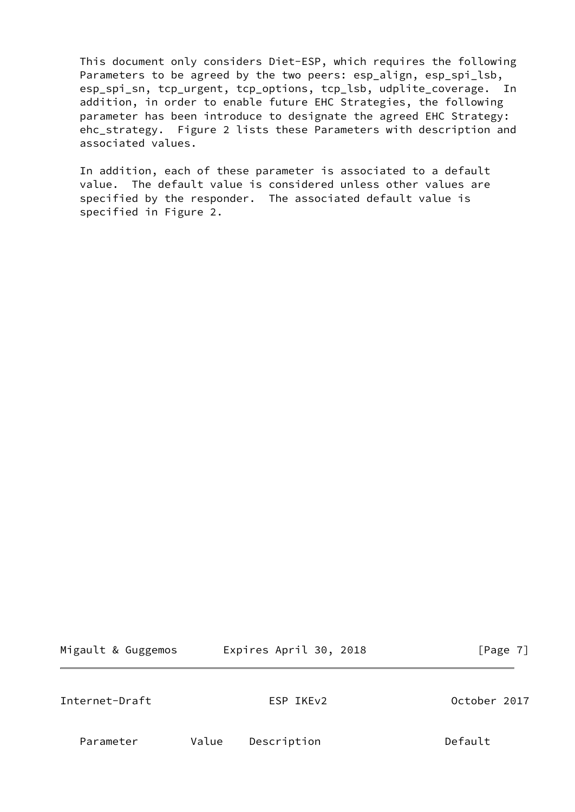This document only considers Diet-ESP, which requires the following Parameters to be agreed by the two peers: esp\_align, esp\_spi\_lsb, esp\_spi\_sn, tcp\_urgent, tcp\_options, tcp\_lsb, udplite\_coverage. In addition, in order to enable future EHC Strategies, the following parameter has been introduce to designate the agreed EHC Strategy: ehc strategy. Figure 2 lists these Parameters with description and associated values.

 In addition, each of these parameter is associated to a default value. The default value is considered unless other values are specified by the responder. The associated default value is specified in Figure 2.

<span id="page-7-0"></span>

| Migault & Guggemos | Expires April 30, 2018 | [Page 7]     |
|--------------------|------------------------|--------------|
| Internet-Draft     | ESP IKE <sub>v2</sub>  | October 2017 |
| Parameter          | Description<br>Value   | Default      |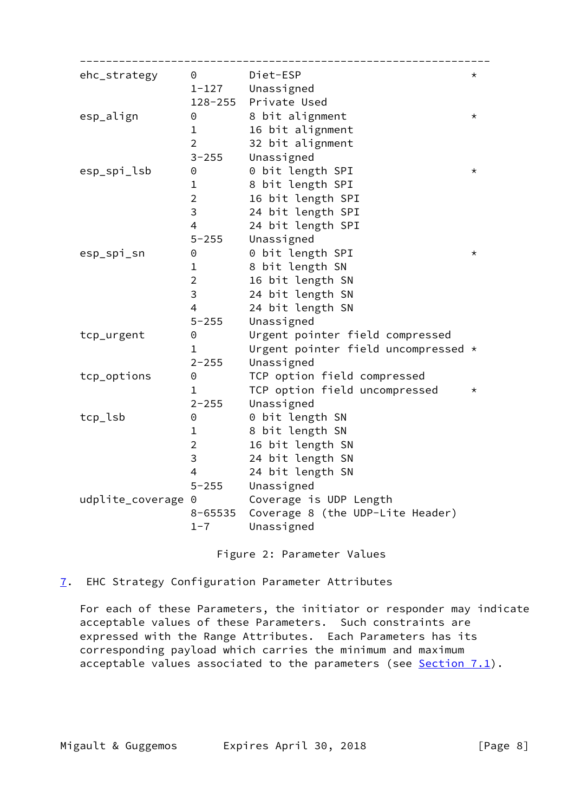| ehc_strategy       | $\Theta$       | Diet-ESP                            | $^\star$ |
|--------------------|----------------|-------------------------------------|----------|
|                    |                | 1-127 Unassigned                    |          |
|                    |                | 128-255 Private Used                |          |
| esp_align          | 0              | 8 bit alignment                     | $^\star$ |
|                    | $\mathbf{1}$   | 16 bit alignment                    |          |
|                    | $\overline{2}$ | 32 bit alignment                    |          |
|                    | $3 - 255$      | Unassigned                          |          |
| esp_spi_lsb        | $\Theta$       | 0 bit length SPI                    | $\star$  |
|                    | $\mathbf 1$    | 8 bit length SPI                    |          |
|                    | $\overline{2}$ | 16 bit length SPI                   |          |
|                    | $\overline{3}$ | 24 bit length SPI                   |          |
|                    | $\overline{4}$ | 24 bit length SPI                   |          |
|                    | $5 - 255$      | Unassigned                          |          |
| esp_spi_sn         | $\Theta$       | 0 bit length SPI                    | $^\star$ |
|                    | $\mathbf{1}$   | 8 bit length SN                     |          |
|                    | $\overline{2}$ | 16 bit length SN                    |          |
|                    | $\overline{3}$ | 24 bit length SN                    |          |
|                    | $\overline{4}$ | 24 bit length SN                    |          |
|                    | $5 - 255$      | Unassigned                          |          |
| tcp_urgent         | 0              | Urgent pointer field compressed     |          |
|                    | $\mathbf{1}$   | Urgent pointer field uncompressed * |          |
|                    | $2 - 255$      | Unassigned                          |          |
| tcp_options        | 0              | TCP option field compressed         |          |
|                    | $\mathbf{1}$   | TCP option field uncompressed       | $^\star$ |
|                    | $2 - 255$      | Unassigned                          |          |
| tcp_lsb            | 0              | 0 bit length SN                     |          |
|                    | 1              | 8 bit length SN                     |          |
|                    | $2 \quad$      | 16 bit length SN                    |          |
|                    | 3              | 24 bit length SN                    |          |
|                    | $\overline{4}$ | 24 bit length SN                    |          |
|                    | $5 - 255$      | Unassigned                          |          |
| udplite_coverage 0 |                | Coverage is UDP Length              |          |
|                    | 8-65535        | Coverage 8 (the UDP-Lite Header)    |          |
|                    | $1 - 7$        | Unassigned                          |          |
|                    |                |                                     |          |

Figure 2: Parameter Values

<span id="page-8-0"></span>[7](#page-8-0). EHC Strategy Configuration Parameter Attributes

 For each of these Parameters, the initiator or responder may indicate acceptable values of these Parameters. Such constraints are expressed with the Range Attributes. Each Parameters has its corresponding payload which carries the minimum and maximum acceptable values associated to the parameters (see [Section 7.1\)](#page-10-0).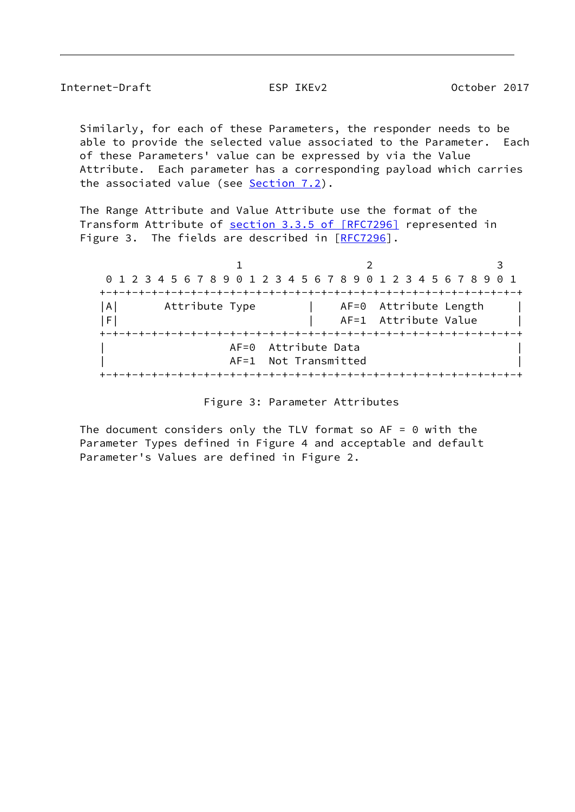Internet-Draft ESP IKEv2 October 2017

 Similarly, for each of these Parameters, the responder needs to be able to provide the selected value associated to the Parameter. Each of these Parameters' value can be expressed by via the Value Attribute. Each parameter has a corresponding payload which carries the associated value (see [Section 7.2](#page-10-2)).

 The Range Attribute and Value Attribute use the format of the Transform Attribute of section [3.3.5 of \[RFC7296\]](https://datatracker.ietf.org/doc/pdf/rfc7296#section-3.3.5) represented in Figure 3. The fields are described in  $[REC7296]$ .

1 2 3 0 1 2 3 4 5 6 7 8 9 0 1 2 3 4 5 6 7 8 9 0 1 2 3 4 5 6 7 8 9 0 1 +-+-+-+-+-+-+-+-+-+-+-+-+-+-+-+-+-+-+-+-+-+-+-+-+-+-+-+-+-+-+-+-+ |A| Attribute Type | AF=0 Attribute Length |F| | AF=1 Attribute Value | +-+-+-+-+-+-+-+-+-+-+-+-+-+-+-+-+-+-+-+-+-+-+-+-+-+-+-+-+-+-+-+-+ AF=0 Attribute Data AF=1 Not Transmitted +-+-+-+-+-+-+-+-+-+-+-+-+-+-+-+-+-+-+-+-+-+-+-+-+-+-+-+-+-+-+-+-+

The document considers only the TLV format so  $AF = 0$  with the Parameter Types defined in Figure 4 and acceptable and default Parameter's Values are defined in Figure 2.

Figure 3: Parameter Attributes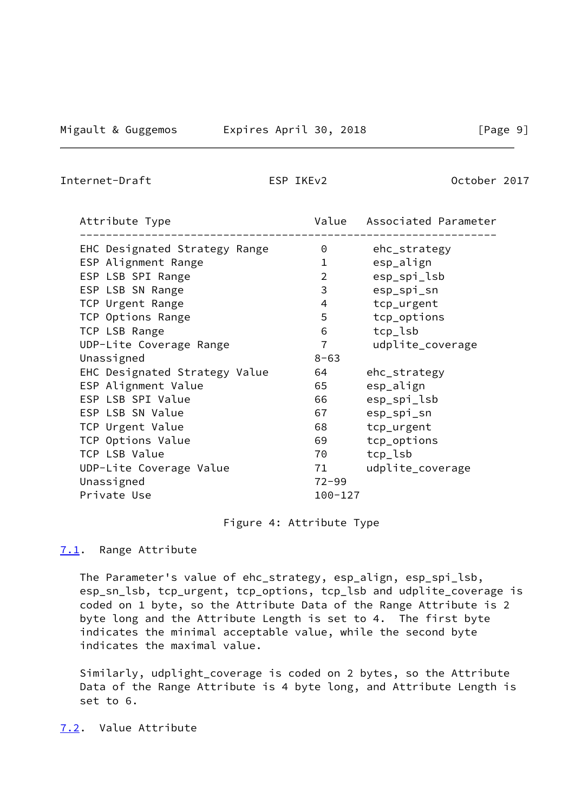<span id="page-10-1"></span>Internet-Draft ESP IKEv2 Detober 2017

| Attribute Type                |                | Value Associated Parameter |
|-------------------------------|----------------|----------------------------|
| EHC Designated Strategy Range | 0              | ehc_strategy               |
| ESP Alignment Range           | 1              | esp_align                  |
| ESP LSB SPI Range             | $\overline{2}$ | esp_spi_lsb                |
| ESP LSB SN Range              | 3              | esp_spi_sn                 |
| TCP Urgent Range              | 4              | tcp_urgent                 |
| TCP Options Range             | 5              | tcp_options                |
| TCP LSB Range                 | 6              | tcp_lsb                    |
| UDP-Lite Coverage Range       | $\overline{7}$ | udplite_coverage           |
| Unassigned                    | $8 - 63$       |                            |
| EHC Designated Strategy Value | 64             | ehc_strategy               |
| ESP Alignment Value           | 65             | esp_align                  |
| ESP LSB SPI Value             | 66             | esp_spi_lsb                |
| ESP LSB SN Value              | 67             | esp_spi_sn                 |
| TCP Urgent Value              | 68             | tcp_urgent                 |
| TCP Options Value             | 69             | tcp_options                |
| TCP LSB Value                 | 70             | tcp_lsb                    |
| UDP-Lite Coverage Value       | 71             | udplite_coverage           |
| Unassigned                    | $72 - 99$      |                            |
| Private Use                   | $100 - 127$    |                            |

## Figure 4: Attribute Type

### <span id="page-10-0"></span>[7.1](#page-10-0). Range Attribute

 The Parameter's value of ehc\_strategy, esp\_align, esp\_spi\_lsb, esp\_sn\_lsb, tcp\_urgent, tcp\_options, tcp\_lsb and udplite\_coverage is coded on 1 byte, so the Attribute Data of the Range Attribute is 2 byte long and the Attribute Length is set to 4. The first byte indicates the minimal acceptable value, while the second byte indicates the maximal value.

 Similarly, udplight\_coverage is coded on 2 bytes, so the Attribute Data of the Range Attribute is 4 byte long, and Attribute Length is set to 6.

<span id="page-10-2"></span>[7.2](#page-10-2). Value Attribute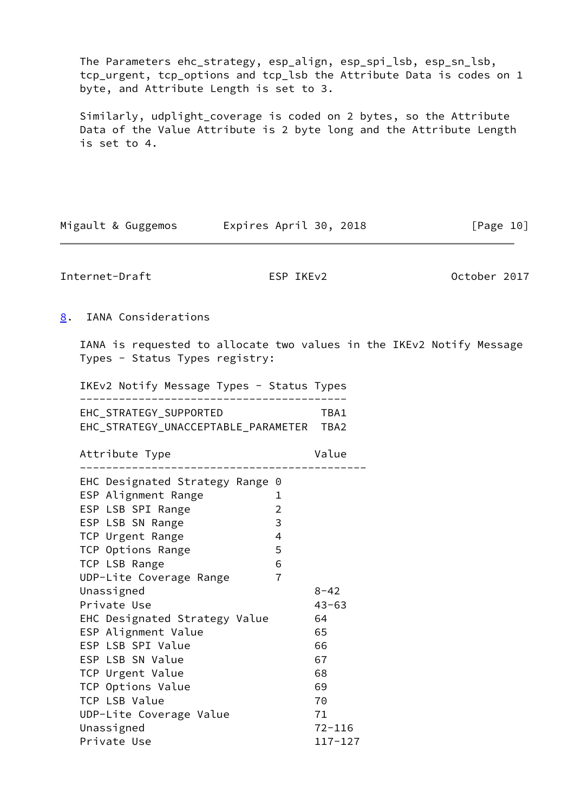The Parameters ehc\_strategy, esp\_align, esp\_spi\_lsb, esp\_sn\_lsb, tcp\_urgent, tcp\_options and tcp\_lsb the Attribute Data is codes on 1 byte, and Attribute Length is set to 3.

 Similarly, udplight\_coverage is coded on 2 bytes, so the Attribute Data of the Value Attribute is 2 byte long and the Attribute Length is set to 4.

<span id="page-11-1"></span><span id="page-11-0"></span>

| Migault & Guggemos       Expires April 30, 2018                                                                                                                                                                                                                                                |                                                           |                                                         | [Page 10]                                                            |
|------------------------------------------------------------------------------------------------------------------------------------------------------------------------------------------------------------------------------------------------------------------------------------------------|-----------------------------------------------------------|---------------------------------------------------------|----------------------------------------------------------------------|
| Internet-Draft                                                                                                                                                                                                                                                                                 | ESP IKEv2                                                 |                                                         | October 2017                                                         |
| IANA Considerations<br>8.                                                                                                                                                                                                                                                                      |                                                           |                                                         |                                                                      |
| Types - Status Types registry:                                                                                                                                                                                                                                                                 |                                                           |                                                         | IANA is requested to allocate two values in the IKEv2 Notify Message |
| IKEv2 Notify Message Types - Status Types                                                                                                                                                                                                                                                      |                                                           |                                                         |                                                                      |
| EHC_STRATEGY_SUPPORTED<br>EHC_STRATEGY_UNACCEPTABLE_PARAMETER TBA2                                                                                                                                                                                                                             |                                                           | TBA1                                                    |                                                                      |
| Attribute Type                                                                                                                                                                                                                                                                                 |                                                           | Value                                                   |                                                                      |
| EHC Designated Strategy Range 0<br>ESP Alignment Range<br>ESP LSB SPI Range<br>ESP LSB SN Range<br>TCP Urgent Range<br>TCP Options Range<br>TCP LSB Range<br>UDP-Lite Coverage Range<br>Unassigned<br>Private Use<br>EHC Designated Strategy Value<br>ESP Alignment Value<br>ESP LSB SPI Value | 1<br>$\overline{2}$<br>3<br>4<br>5<br>6<br>$\overline{7}$ | $8 - 42$<br>$43 - 63$<br>64<br>65<br>66                 |                                                                      |
| ESP LSB SN Value<br>TCP Urgent Value<br>TCP Options Value<br>TCP LSB Value<br>UDP-Lite Coverage Value<br>Unassigned<br>Private Use                                                                                                                                                             |                                                           | 67<br>68<br>69<br>70<br>71<br>$72 - 116$<br>$117 - 127$ |                                                                      |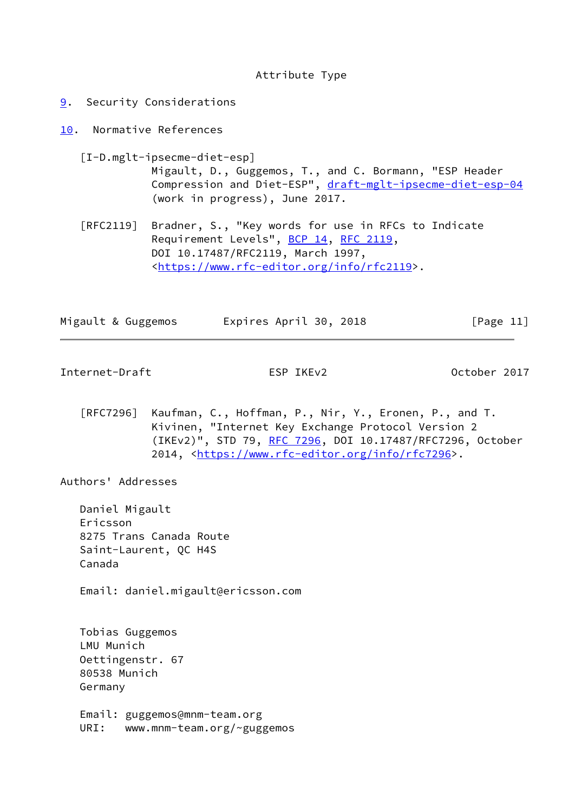#### Attribute Type

- <span id="page-12-0"></span>[9](#page-12-0). Security Considerations
- <span id="page-12-1"></span>[10.](#page-12-1) Normative References

<span id="page-12-3"></span> [I-D.mglt-ipsecme-diet-esp] Migault, D., Guggemos, T., and C. Bormann, "ESP Header Compression and Diet-ESP", [draft-mglt-ipsecme-diet-esp-04](https://datatracker.ietf.org/doc/pdf/draft-mglt-ipsecme-diet-esp-04) (work in progress), June 2017.

 [RFC2119] Bradner, S., "Key words for use in RFCs to Indicate Requirement Levels", [BCP 14](https://datatracker.ietf.org/doc/pdf/bcp14), [RFC 2119](https://datatracker.ietf.org/doc/pdf/rfc2119), DOI 10.17487/RFC2119, March 1997, <[https://www.rfc-editor.org/info/rfc2119>](https://www.rfc-editor.org/info/rfc2119).

| Migault & Guggemos | Expires April 30, 2018 | [Page 11] |
|--------------------|------------------------|-----------|
|                    |                        |           |

<span id="page-12-2"></span>Internet-Draft ESP IKEv2 Cotober 2017

 [RFC7296] Kaufman, C., Hoffman, P., Nir, Y., Eronen, P., and T. Kivinen, "Internet Key Exchange Protocol Version 2 (IKEv2)", STD 79, [RFC 7296](https://datatracker.ietf.org/doc/pdf/rfc7296), DOI 10.17487/RFC7296, October 2014, [<https://www.rfc-editor.org/info/rfc7296](https://www.rfc-editor.org/info/rfc7296)>.

Authors' Addresses

 Daniel Migault Ericsson 8275 Trans Canada Route Saint-Laurent, QC H4S Canada

Email: daniel.migault@ericsson.com

 Tobias Guggemos LMU Munich Oettingenstr. 67 80538 Munich Germany

 Email: guggemos@mnm-team.org URI: www.mnm-team.org/~guggemos